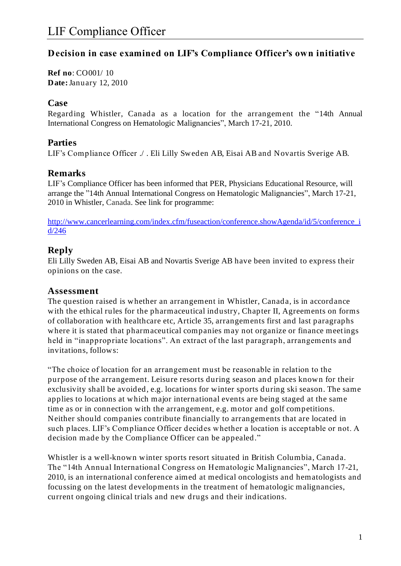## **Decision in case examined on LIF's Compliance Officer's own initiative**

**Ref no**: CO001/ 10 **Date:**January 12, 2010

#### **Case**

Regarding Whistler, Canada as a location for the arrangement the "14th Annual International Congress on Hematologic Malignancies", March 17-21, 2010.

## **Parties**

LIF's Compliance Officer ./ . Eli Lilly Sweden AB, Eisai AB and Novartis Sverige AB.

## **Remarks**

LIF's Compliance Officer has been informed that PER, Physicians Educational Resource, will arrange the "14th Annual International Congress on Hematologic Malignancies", March 17-21, 2010 in Whistler, Canada. See link for programme:

[http://www.cancerlearning.com/index.cfm/fuseaction/conference.showAgenda/id/5/conference\\_i](http://www.cancerlearning.com/index.cfm/fuseaction/conference.showAgenda/id/5/conference_id/246) [d/246](http://www.cancerlearning.com/index.cfm/fuseaction/conference.showAgenda/id/5/conference_id/246)

## **Reply**

Eli Lilly Sweden AB, Eisai AB and Novartis Sverige AB have been invited to express their opinions on the case.

## **Assessment**

The question raised is whether an arrangement in Whistler, Canada, is in accordance with the ethical rules for the pharmaceutical industry, Chapter II, Agreements on forms of collaboration with healthcare etc, Article 35, arrangements first and last paragraphs where it is stated that pharmaceutical companies may not organize or finance meetings held in "inappropriate locations". An extract of the last paragraph, arrangements and invitations, follows:

"The choice of location for an arrangement must be reasonable in relation to the purpose of the arrangement. Leisure resorts during season an d places known for their exclusivity shall be avoided, e.g. locations for winter sports during ski season. The same applies to locations at which major international events are being staged at the same time as or in connection with the arrangement, e.g. motor and golf competitions. Neither should companies contribute financially to arrangements that are located in such places. LIF's Compliance Officer decides whether a location is acceptable or not. A decision made by the Compliance Officer can be appealed."

Whistler is a well-known winter sports resort situated in British Columbia, Canada. The "14th Annual International Congress on Hematologic Malignancies", March 17-21, 2010, is an international conference aimed at medical oncologists and hematologists and focussing on the latest developments in the treatment of hematologic malignancies, current ongoing clinical trials and new drugs and their indications.